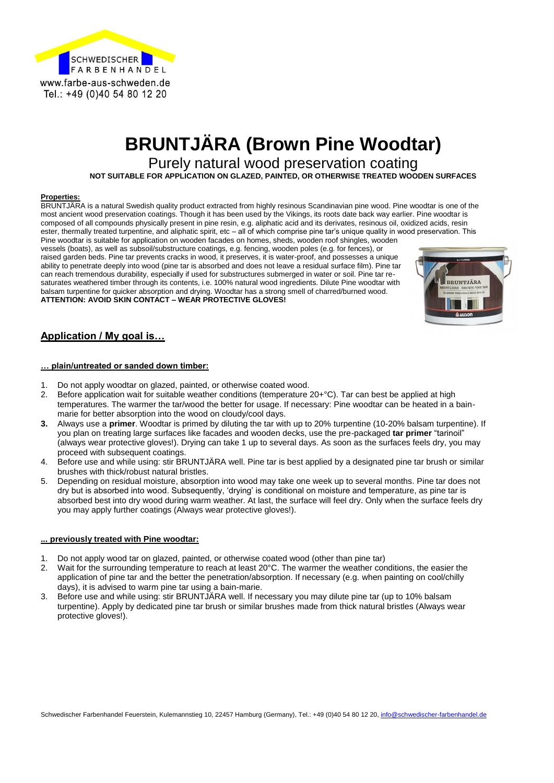

# **BRUNTJÄRA (Brown Pine Woodtar)**

Purely natural wood preservation coating

**NOT SUITABLE FOR APPLICATION ON GLAZED, PAINTED, OR OTHERWISE TREATED WOODEN SURFACES**

#### **Properties:**

BRUNTJÄRA is a natural Swedish quality product extracted from highly resinous Scandinavian pine wood. Pine woodtar is one of the most ancient wood preservation coatings. Though it has been used by the Vikings, its roots date back way earlier. Pine woodtar is composed of all compounds physically present in pine resin, e.g. aliphatic acid and its derivates, resinous oil, oxidized acids, resin ester, thermally treated turpentine, and aliphatic spirit, etc – all of which comprise pine tar's unique quality in wood preservation. This Pine woodtar is suitable for application on wooden facades on homes, sheds, wooden roof shingles, wooden

vessels (boats), as well as subsoil/substructure coatings, e.g. fencing, wooden poles (e.g. for fences), or raised garden beds. Pine tar prevents cracks in wood, it preserves, it is water-proof, and possesses a unique ability to penetrate deeply into wood (pine tar is absorbed and does not leave a residual surface film). Pine tar can reach tremendous durability, especially if used for substructures submerged in water or soil. Pine tar resaturates weathered timber through its contents, i.e. 100% natural wood ingredients. Dilute Pine woodtar with balsam turpentine for quicker absorption and drying. Woodtar has a strong smell of charred/burned wood. **ATTENTION: AVOID SKIN CONTACT – WEAR PROTECTIVE GLOVES!**



### **Application / My goal is…**

#### **… plain/untreated or sanded down timber:**

- 1. Do not apply woodtar on glazed, painted, or otherwise coated wood.
- 2. Before application wait for suitable weather conditions (temperature 20+°C). Tar can best be applied at high temperatures. The warmer the tar/wood the better for usage. If necessary: Pine woodtar can be heated in a bainmarie for better absorption into the wood on cloudy/cool days.
- **3.** Always use a **primer**. Woodtar is primed by diluting the tar with up to 20% turpentine (10-20% balsam turpentine). If you plan on treating large surfaces like facades and wooden decks, use the pre-packaged **tar primer** "tarinoil" (always wear protective gloves!). Drying can take 1 up to several days. As soon as the surfaces feels dry, you may proceed with subsequent coatings.
- 4. Before use and while using: stir BRUNTJÄRA well. Pine tar is best applied by a designated pine tar brush or similar brushes with thick/robust natural bristles.
- 5. Depending on residual moisture, absorption into wood may take one week up to several months. Pine tar does not dry but is absorbed into wood. Subsequently, 'drying' is conditional on moisture and temperature, as pine tar is absorbed best into dry wood during warm weather. At last, the surface will feel dry. Only when the surface feels dry you may apply further coatings (Always wear protective gloves!).

#### **... previously treated with Pine woodtar:**

- 1. Do not apply wood tar on glazed, painted, or otherwise coated wood (other than pine tar)
- 2. Wait for the surrounding temperature to reach at least 20°C. The warmer the weather conditions, the easier the application of pine tar and the better the penetration/absorption. If necessary (e.g. when painting on cool/chilly days), it is advised to warm pine tar using a bain-marie.
- 3. Before use and while using: stir BRUNTJÄRA well. If necessary you may dilute pine tar (up to 10% balsam turpentine). Apply by dedicated pine tar brush or similar brushes made from thick natural bristles (Always wear protective gloves!).